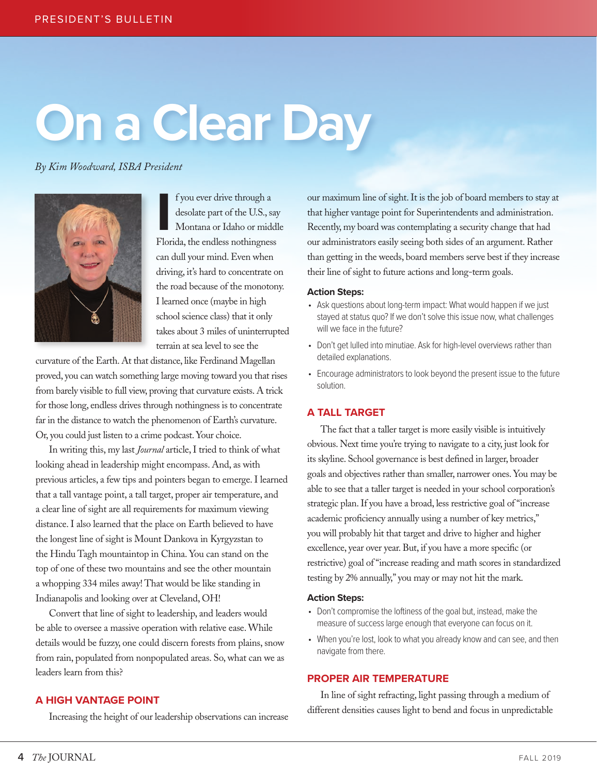# **On a Clear Day**

*By Kim Woodward, ISBA President*



**I** Florida, the endless nothingness f you ever drive through a desolate part of the U.S., say Montana or Idaho or middle can dull your mind. Even when driving, it's hard to concentrate on the road because of the monotony. I learned once (maybe in high school science class) that it only takes about 3 miles of uninterrupted terrain at sea level to see the

curvature of the Earth. At that distance, like Ferdinand Magellan proved, you can watch something large moving toward you that rises from barely visible to full view, proving that curvature exists. A trick for those long, endless drives through nothingness is to concentrate far in the distance to watch the phenomenon of Earth's curvature. Or, you could just listen to a crime podcast. Your choice.

In writing this, my last *Journal* article, I tried to think of what looking ahead in leadership might encompass. And, as with previous articles, a few tips and pointers began to emerge. I learned that a tall vantage point, a tall target, proper air temperature, and a clear line of sight are all requirements for maximum viewing distance. I also learned that the place on Earth believed to have the longest line of sight is Mount Dankova in Kyrgyzstan to the Hindu Tagh mountaintop in China. You can stand on the top of one of these two mountains and see the other mountain a whopping 334 miles away! That would be like standing in Indianapolis and looking over at Cleveland, OH!

Convert that line of sight to leadership, and leaders would be able to oversee a massive operation with relative ease. While details would be fuzzy, one could discern forests from plains, snow from rain, populated from nonpopulated areas. So, what can we as leaders learn from this?

# **A HIGH VANTAGE POINT**

Increasing the height of our leadership observations can increase

our maximum line of sight. It is the job of board members to stay at that higher vantage point for Superintendents and administration. Recently, my board was contemplating a security change that had our administrators easily seeing both sides of an argument. Rather than getting in the weeds, board members serve best if they increase their line of sight to future actions and long-term goals.

### **Action Steps:**

- Ask questions about long-term impact: What would happen if we just stayed at status quo? If we don't solve this issue now, what challenges will we face in the future?
- Don't get lulled into minutiae. Ask for high-level overviews rather than detailed explanations.
- Encourage administrators to look beyond the present issue to the future solution.

# **A TALL TARGET**

The fact that a taller target is more easily visible is intuitively obvious. Next time you're trying to navigate to a city, just look for its skyline. School governance is best defined in larger, broader goals and objectives rather than smaller, narrower ones. You may be able to see that a taller target is needed in your school corporation's strategic plan. If you have a broad, less restrictive goal of "increase academic proficiency annually using a number of key metrics," you will probably hit that target and drive to higher and higher excellence, year over year. But, if you have a more specific (or restrictive) goal of "increase reading and math scores in standardized testing by 2% annually," you may or may not hit the mark.

## **Action Steps:**

- Don't compromise the loftiness of the goal but, instead, make the measure of success large enough that everyone can focus on it.
- When you're lost, look to what you already know and can see, and then navigate from there.

# **PROPER AIR TEMPERATURE**

In line of sight refracting, light passing through a medium of different densities causes light to bend and focus in unpredictable